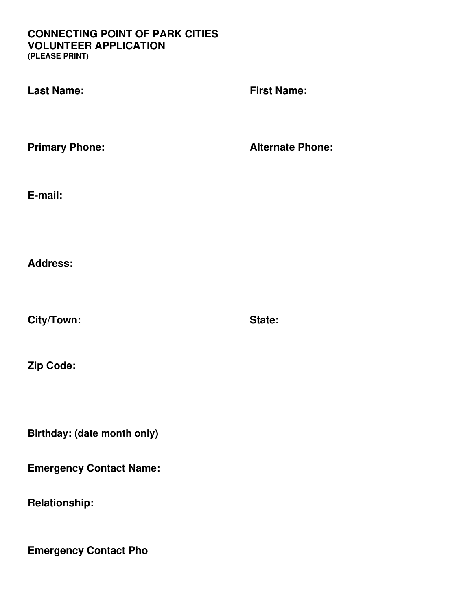#### **CONNECTING POINT OF PARK CITIES VOLUNTEER APPLICATION (PLEASE PRINT)**

**Last Name: First Name: Primary Phone: Alternate Phone: E-mail: Address: City/Town: State: Zip Code: Birthday: (date month only)** 

**Emergency Contact Name:**

**Relationship:** 

**Emergency Contact Pho**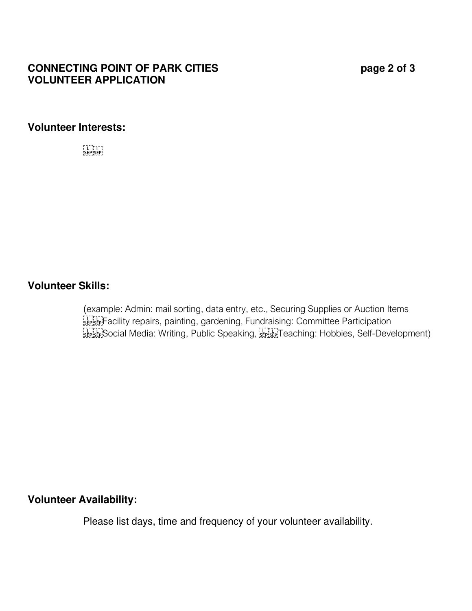# **CONNECTING POINT OF PARK CITIES page 2 of 3 VOLUNTEER APPLICATION**

#### **Volunteer Interests:**

F 1 \* 1 \* 1<br>'SEP'SEP'

# **Volunteer Skills:**

 (example: Admin: mail sorting, data entry, etc., Securing Supplies or Auction Items FERTE FACIlity repairs, painting, gardening, Fundraising: Committee Participation StepsenSocial Media: Writing, Public Speaking, StepsenTeaching: Hobbies, Self-Development)

#### **Volunteer Availability:**

Please list days, time and frequency of your volunteer availability.